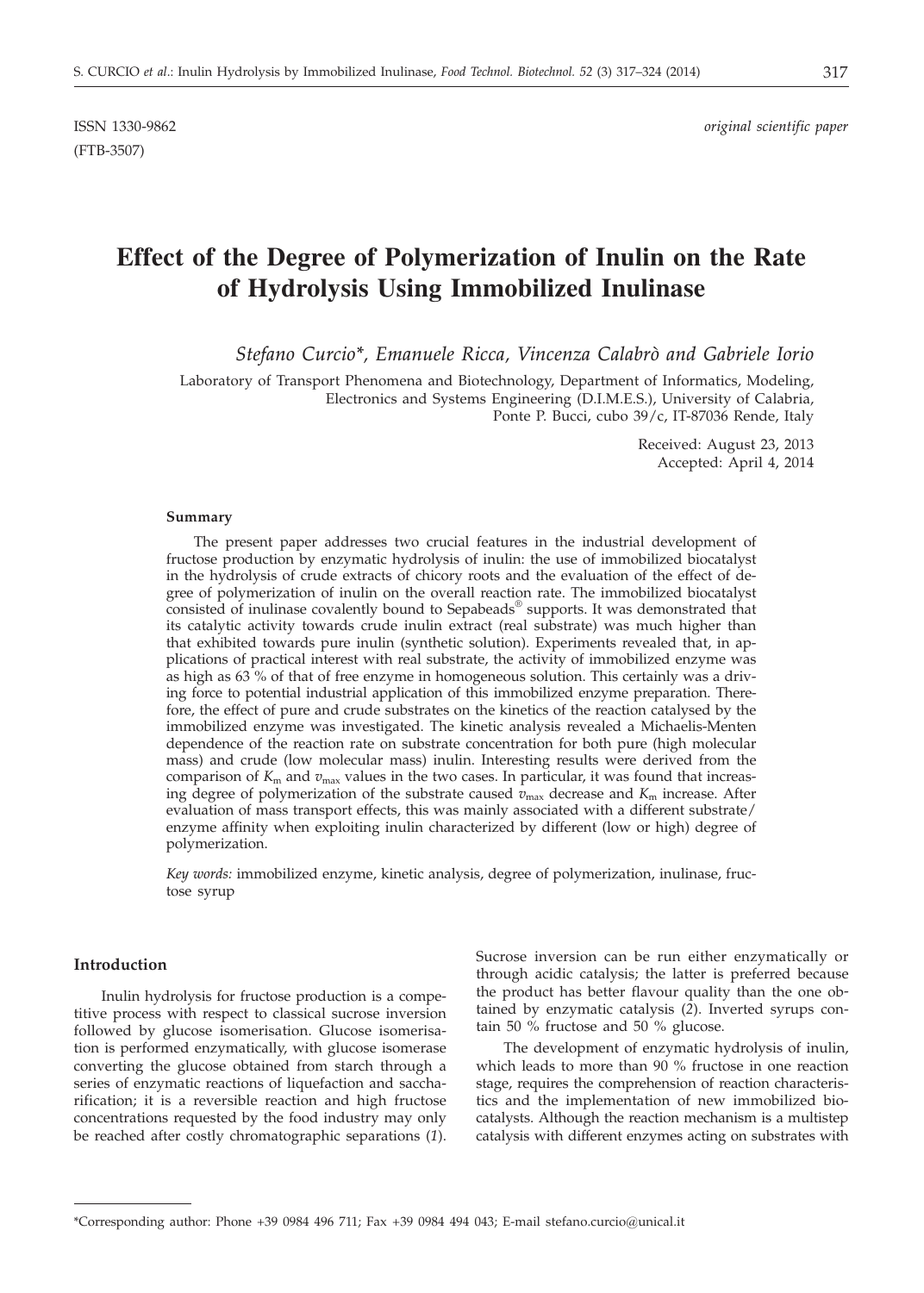ISSN 1330-9862 *original scientific paper*

# **Effect of the Degree of Polymerization of Inulin on the Rate of Hydrolysis Using Immobilized Inulinase**

*Stefano Curcio\*, Emanuele Ricca, Vincenza Calabrò and Gabriele Iorio*

Laboratory of Transport Phenomena and Biotechnology, Department of Informatics, Modeling, Electronics and Systems Engineering (D.I.M.E.S.), University of Calabria, Ponte P. Bucci, cubo 39/c, IT-87036 Rende, Italy

Received: August 23, 2013

Accepted: April 4, 2014

#### **Summary**

(FTB-3507)

The present paper addresses two crucial features in the industrial development of fructose production by enzymatic hydrolysis of inulin: the use of immobilized biocatalyst in the hydrolysis of crude extracts of chicory roots and the evaluation of the effect of degree of polymerization of inulin on the overall reaction rate. The immobilized biocatalyst consisted of inulinase covalently bound to Sepabeads® supports. It was demonstrated that its catalytic activity towards crude inulin extract (real substrate) was much higher than that exhibited towards pure inulin (synthetic solution). Experiments revealed that, in applications of practical interest with real substrate, the activity of immobilized enzyme was as high as 63 % of that of free enzyme in homogeneous solution. This certainly was a driving force to potential industrial application of this immobilized enzyme preparation. Therefore, the effect of pure and crude substrates on the kinetics of the reaction catalysed by the immobilized enzyme was investigated. The kinetic analysis revealed a Michaelis-Menten dependence of the reaction rate on substrate concentration for both pure (high molecular mass) and crude (low molecular mass) inulin. Interesting results were derived from the comparison of  $K<sub>m</sub>$  and  $v<sub>max</sub>$  values in the two cases. In particular, it was found that increasing degree of polymerization of the substrate caused  $\bar{v}_{\text{max}}$  decrease and  $K_{\text{m}}$  increase. After evaluation of mass transport effects, this was mainly associated with a different substrate/ enzyme affinity when exploiting inulin characterized by different (low or high) degree of polymerization.

*Key words:* immobilized enzyme, kinetic analysis, degree of polymerization, inulinase, fructose syrup

# **Introduction**

Inulin hydrolysis for fructose production is a competitive process with respect to classical sucrose inversion followed by glucose isomerisation. Glucose isomerisation is performed enzymatically, with glucose isomerase converting the glucose obtained from starch through a series of enzymatic reactions of liquefaction and saccharification; it is a reversible reaction and high fructose concentrations requested by the food industry may only be reached after costly chromatographic separations (*1*). Sucrose inversion can be run either enzymatically or through acidic catalysis; the latter is preferred because the product has better flavour quality than the one obtained by enzymatic catalysis (*2*). Inverted syrups contain 50 % fructose and 50 % glucose.

The development of enzymatic hydrolysis of inulin, which leads to more than 90 % fructose in one reaction stage, requires the comprehension of reaction characteristics and the implementation of new immobilized biocatalysts. Although the reaction mechanism is a multistep catalysis with different enzymes acting on substrates with

<sup>\*</sup>Corresponding author: Phone +39 0984 496 711; Fax +39 0984 494 043; E-mail stefano.curcio@unical.it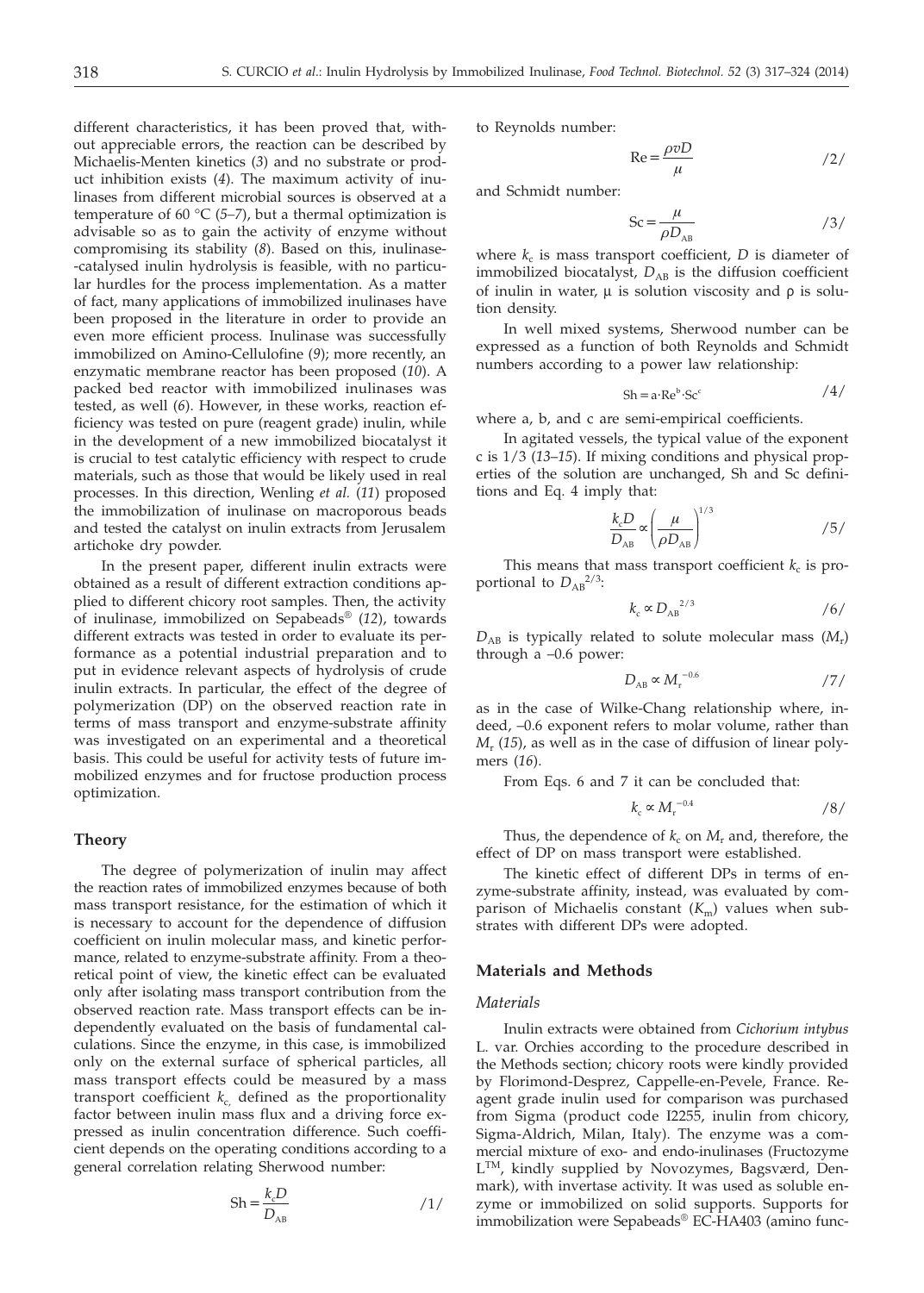different characteristics, it has been proved that, without appreciable errors, the reaction can be described by Michaelis-Menten kinetics (*3*) and no substrate or product inhibition exists (*4*). The maximum activity of inulinases from different microbial sources is observed at a temperature of 60  $\degree$ C (5–7), but a thermal optimization is advisable so as to gain the activity of enzyme without compromising its stability (*8*). Based on this, inulinase- -catalysed inulin hydrolysis is feasible, with no particular hurdles for the process implementation. As a matter of fact, many applications of immobilized inulinases have been proposed in the literature in order to provide an even more efficient process. Inulinase was successfully immobilized on Amino-Cellulofine (*9*); more recently, an enzymatic membrane reactor has been proposed (*10*). A packed bed reactor with immobilized inulinases was tested, as well (*6*). However, in these works, reaction efficiency was tested on pure (reagent grade) inulin, while in the development of a new immobilized biocatalyst it is crucial to test catalytic efficiency with respect to crude materials, such as those that would be likely used in real processes. In this direction, Wenling *et al.* (*11*) proposed the immobilization of inulinase on macroporous beads and tested the catalyst on inulin extracts from Jerusalem artichoke dry powder.

In the present paper, different inulin extracts were obtained as a result of different extraction conditions applied to different chicory root samples. Then, the activity of inulinase, immobilized on Sepabeads® (*12*), towards different extracts was tested in order to evaluate its performance as a potential industrial preparation and to put in evidence relevant aspects of hydrolysis of crude inulin extracts. In particular, the effect of the degree of polymerization (DP) on the observed reaction rate in terms of mass transport and enzyme-substrate affinity was investigated on an experimental and a theoretical basis. This could be useful for activity tests of future immobilized enzymes and for fructose production process optimization.

### **Theory**

The degree of polymerization of inulin may affect the reaction rates of immobilized enzymes because of both mass transport resistance, for the estimation of which it is necessary to account for the dependence of diffusion coefficient on inulin molecular mass, and kinetic performance, related to enzyme-substrate affinity. From a theoretical point of view, the kinetic effect can be evaluated only after isolating mass transport contribution from the observed reaction rate. Mass transport effects can be independently evaluated on the basis of fundamental calculations. Since the enzyme, in this case, is immobilized only on the external surface of spherical particles, all mass transport effects could be measured by a mass transport coefficient  $k_c$ , defined as the proportionality factor between inulin mass flux and a driving force expressed as inulin concentration difference. Such coefficient depends on the operating conditions according to a general correlation relating Sherwood number:

$$
Sh = \frac{k_c D}{D_{AB}} \tag{1/}
$$

to Reynolds number:

$$
Re = \frac{\rho v D}{\mu} \tag{2}
$$

and Schmidt number:

$$
Sc = \frac{\mu}{\rho D_{AB}} \tag{3/}
$$

where  $k_c$  is mass transport coefficient,  $D$  is diameter of immobilized biocatalyst,  $D_{AB}$  is the diffusion coefficient of inulin in water,  $\mu$  is solution viscosity and  $\rho$  is solution density.

In well mixed systems, Sherwood number can be expressed as a function of both Reynolds and Schmidt numbers according to a power law relationship:

$$
Sh = a \cdot Re^b \cdot Sc^c \qquad \qquad \text{/4/}
$$

where a, b, and c are semi-empirical coefficients.

In agitated vessels, the typical value of the exponent c is 1/3 (*13*–*15*). If mixing conditions and physical properties of the solution are unchanged, Sh and Sc definitions and Eq. 4 imply that:

$$
\frac{k_c D}{D_{AB}} \propto \left(\frac{\mu}{\rho D_{AB}}\right)^{1/3} \tag{5/}
$$

This means that mass transport coefficient  $k_c$  is proportional to  $D_{AB}^{2/3}$ :

$$
k_c \propto D_{AB}^{2/3} \tag{6/}
$$

 $D_{AB}$  is typically related to solute molecular mass  $(M_r)$ through a –0.6 power:

$$
D_{AB} \propto M_{\rm r}^{-0.6} \tag{7/}
$$

as in the case of Wilke-Chang relationship where, indeed, –0.6 exponent refers to molar volume, rather than *M*<sup>r</sup> (*15*), as well as in the case of diffusion of linear polymers (*16*).

From Eqs. 6 and 7 it can be concluded that:

$$
k_{\rm c} \propto M_{\rm r}^{-0.4} \tag{8/}
$$

Thus, the dependence of  $k_c$  on  $M_r$  and, therefore, the effect of DP on mass transport were established.

The kinetic effect of different DPs in terms of enzyme-substrate affinity, instead, was evaluated by comparison of Michaelis constant  $(K<sub>m</sub>)$  values when substrates with different DPs were adopted.

# **Materials and Methods**

#### *Materials*

Inulin extracts were obtained from *Cichorium intybus* L. var. Orchies according to the procedure described in the Methods section; chicory roots were kindly provided by Florimond-Desprez, Cappelle-en-Pevele, France. Reagent grade inulin used for comparison was purchased from Sigma (product code I2255, inulin from chicory, Sigma-Aldrich, Milan, Italy). The enzyme was a commercial mixture of exo- and endo-inulinases (Fructozyme L<sup>TM</sup>, kindly supplied by Novozymes, Bagsværd, Denmark), with invertase activity. It was used as soluble enzyme or immobilized on solid supports. Supports for immobilization were Sepabeads® EC-HA403 (amino func-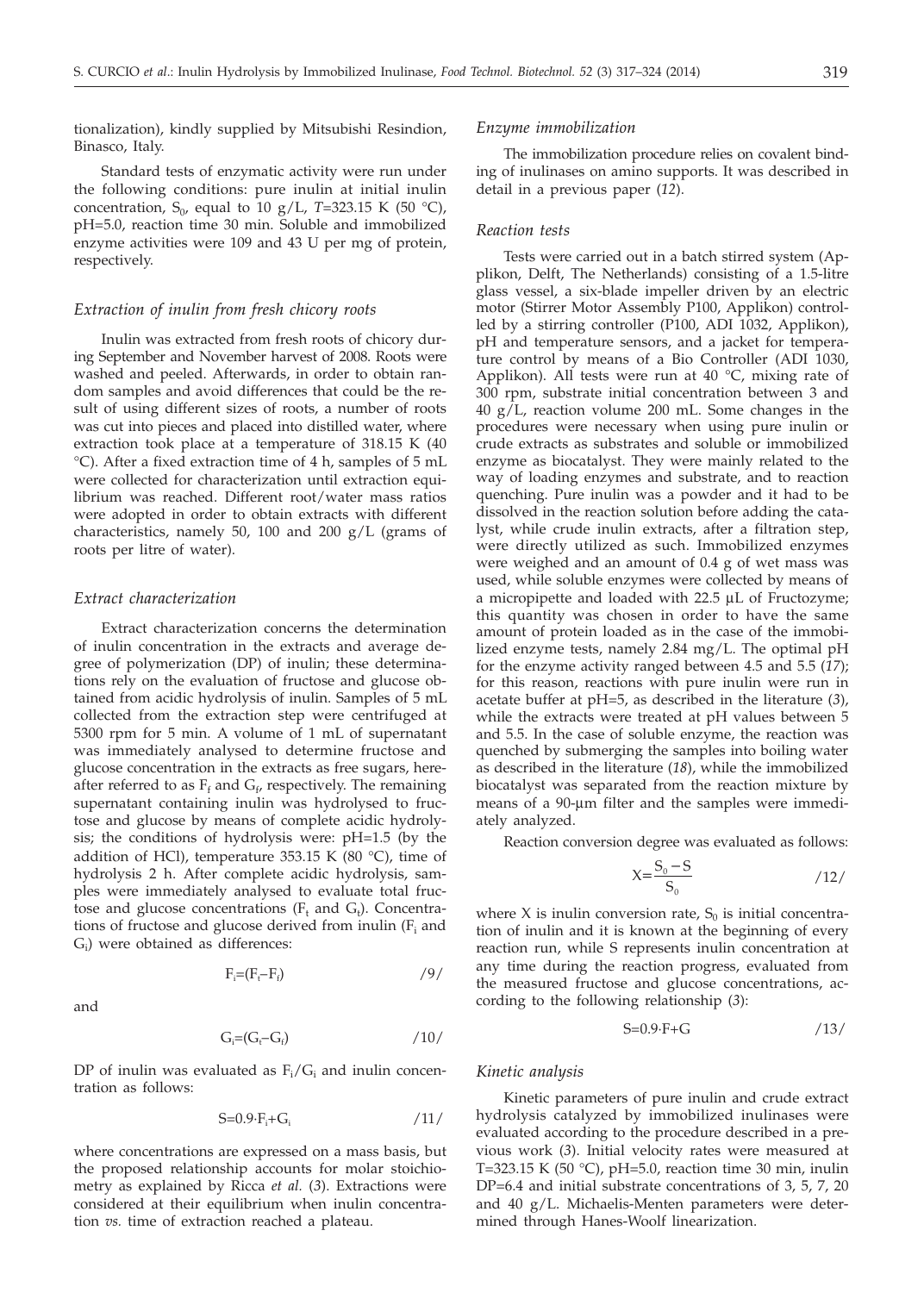tionalization), kindly supplied by Mitsubishi Resindion, Binasco, Italy.

Standard tests of enzymatic activity were run under the following conditions: pure inulin at initial inulin concentration,  $S_0$ , equal to 10 g/L, T=323.15 K (50 °C), pH=5.0, reaction time 30 min. Soluble and immobilized enzyme activities were 109 and 43 U per mg of protein, respectively.

# *Extraction of inulin from fresh chicory roots*

Inulin was extracted from fresh roots of chicory during September and November harvest of 2008. Roots were washed and peeled. Afterwards, in order to obtain random samples and avoid differences that could be the result of using different sizes of roots, a number of roots was cut into pieces and placed into distilled water, where extraction took place at a temperature of 318.15 K (40 °C). After a fixed extraction time of 4 h, samples of 5 mL were collected for characterization until extraction equilibrium was reached. Different root/water mass ratios were adopted in order to obtain extracts with different characteristics, namely 50, 100 and 200 g/L (grams of roots per litre of water).

# *Extract characterization*

Extract characterization concerns the determination of inulin concentration in the extracts and average degree of polymerization (DP) of inulin; these determinations rely on the evaluation of fructose and glucose obtained from acidic hydrolysis of inulin. Samples of 5 mL collected from the extraction step were centrifuged at 5300 rpm for 5 min. A volume of 1 mL of supernatant was immediately analysed to determine fructose and glucose concentration in the extracts as free sugars, hereafter referred to as  $F_f$  and  $G_f$ , respectively. The remaining supernatant containing inulin was hydrolysed to fructose and glucose by means of complete acidic hydrolysis; the conditions of hydrolysis were: pH=1.5 (by the addition of HCl), temperature 353.15 K (80 $\degree$ C), time of hydrolysis 2 h. After complete acidic hydrolysis, samples were immediately analysed to evaluate total fructose and glucose concentrations  $(F_t$  and  $G_t$ ). Concentrations of fructose and glucose derived from inulin  $(F<sub>i</sub>$  and  $G_i$ ) were obtained as differences:

and

$$
F_i = (F_t - F_f) \tag{9}
$$

$$
G_i = (G_i - G_i) \tag{10}
$$

DP of inulin was evaluated as  $F_i/G_i$  and inulin concentration as follows:

$$
S=0.9 \cdot F_i + G_i \tag{11/}
$$

where concentrations are expressed on a mass basis, but the proposed relationship accounts for molar stoichiometry as explained by Ricca *et al.* (*3*). Extractions were considered at their equilibrium when inulin concentration *vs.* time of extraction reached a plateau.

#### *Enzyme immobilization*

The immobilization procedure relies on covalent binding of inulinases on amino supports. It was described in detail in a previous paper (*12*).

#### *Reaction tests*

Tests were carried out in a batch stirred system (Applikon, Delft, The Netherlands) consisting of a 1.5-litre glass vessel, a six-blade impeller driven by an electric motor (Stirrer Motor Assembly P100, Applikon) controlled by a stirring controller (P100, ADI 1032, Applikon), pH and temperature sensors, and a jacket for temperature control by means of a Bio Controller (ADI 1030, Applikon). All tests were run at 40  $^{\circ}$ C, mixing rate of 300 rpm, substrate initial concentration between 3 and  $40 \text{ g/L}$ , reaction volume 200 mL. Some changes in the procedures were necessary when using pure inulin or crude extracts as substrates and soluble or immobilized enzyme as biocatalyst. They were mainly related to the way of loading enzymes and substrate, and to reaction quenching. Pure inulin was a powder and it had to be dissolved in the reaction solution before adding the catalyst, while crude inulin extracts, after a filtration step, were directly utilized as such. Immobilized enzymes were weighed and an amount of 0.4 g of wet mass was used, while soluble enzymes were collected by means of a micropipette and loaded with 22.5 µL of Fructozyme; this quantity was chosen in order to have the same amount of protein loaded as in the case of the immobilized enzyme tests, namely 2.84 mg/L. The optimal pH for the enzyme activity ranged between 4.5 and 5.5 (*17*); for this reason, reactions with pure inulin were run in acetate buffer at pH=5, as described in the literature (*3*), while the extracts were treated at pH values between 5 and 5.5. In the case of soluble enzyme, the reaction was quenched by submerging the samples into boiling water as described in the literature (*18*), while the immobilized biocatalyst was separated from the reaction mixture by means of a 90-µm filter and the samples were immediately analyzed.

Reaction conversion degree was evaluated as follows:

$$
X = \frac{S_0 - S}{S_0} \tag{12}
$$

where X is inulin conversion rate,  $S_0$  is initial concentration of inulin and it is known at the beginning of every reaction run, while S represents inulin concentration at any time during the reaction progress, evaluated from the measured fructose and glucose concentrations, according to the following relationship (*3*):

$$
S=0.9 \cdot F + G \tag{13}
$$

# *Kinetic analysis*

Kinetic parameters of pure inulin and crude extract hydrolysis catalyzed by immobilized inulinases were evaluated according to the procedure described in a previous work (*3*). Initial velocity rates were measured at T=323.15 K (50 °C), pH=5.0, reaction time 30 min, inulin DP=6.4 and initial substrate concentrations of 3, 5, 7, 20 and 40 g/L. Michaelis-Menten parameters were determined through Hanes-Woolf linearization.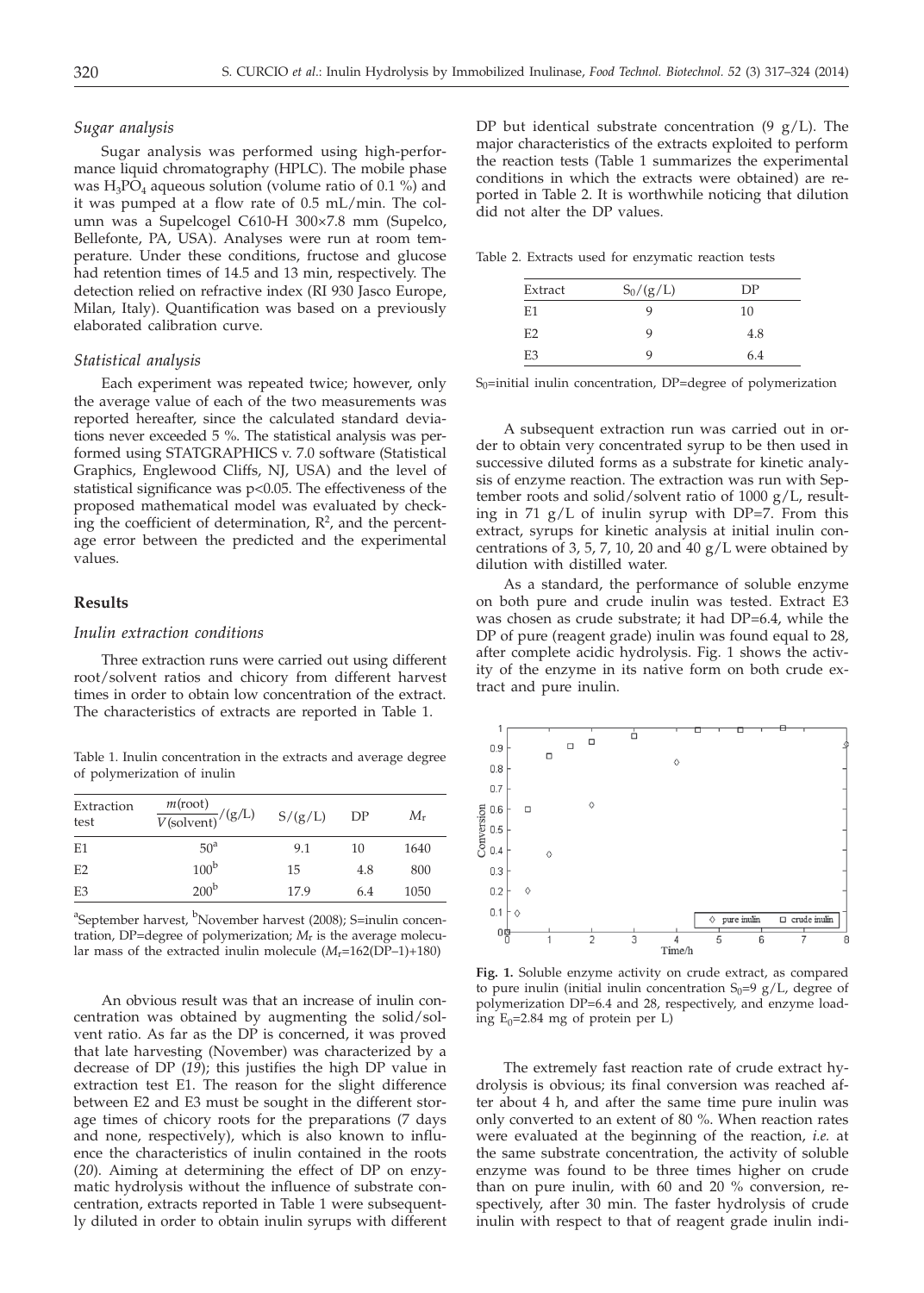#### *Sugar analysis*

Sugar analysis was performed using high-performance liquid chromatography (HPLC). The mobile phase was  $H_3PO_4$  aqueous solution (volume ratio of 0.1 %) and it was pumped at a flow rate of 0.5 mL/min. The column was a Supelcogel C610-H 300×7.8 mm (Supelco, Bellefonte, PA, USA). Analyses were run at room temperature. Under these conditions, fructose and glucose had retention times of 14.5 and 13 min, respectively. The detection relied on refractive index (RI 930 Jasco Europe, Milan, Italy). Quantification was based on a previously elaborated calibration curve.

#### *Statistical analysis*

Each experiment was repeated twice; however, only the average value of each of the two measurements was reported hereafter, since the calculated standard deviations never exceeded 5 %. The statistical analysis was performed using STATGRAPHICS v. 7.0 software (Statistical Graphics, Englewood Cliffs, NJ, USA) and the level of statistical significance was p<0.05. The effectiveness of the proposed mathematical model was evaluated by checking the coefficient of determination,  $\mathbb{R}^2$ , and the percentage error between the predicted and the experimental values.

# **Results**

# *Inulin extraction conditions*

Three extraction runs were carried out using different root/solvent ratios and chicory from different harvest times in order to obtain low concentration of the extract. The characteristics of extracts are reported in Table 1.

Table 1. Inulin concentration in the extracts and average degree of polymerization of inulin

| Extraction<br>test | $\frac{m(\text{root})}{V(\text{solvent})}/(g/L)$ | S/(g/L) | DP  | $M_{\rm r}$ |
|--------------------|--------------------------------------------------|---------|-----|-------------|
| E1                 | 50 <sup>a</sup>                                  | 9.1     | 10  | 1640        |
| E2                 | 100 <sup>b</sup>                                 | 15      | 4.8 | 800         |
| E3                 | 200 <sup>b</sup>                                 | 17.9    | 6.4 | 1050        |

<sup>a</sup>September harvest, <sup>b</sup>November harvest (2008); S=inulin concentration, DP=degree of polymerization; *M*r is the average molecular mass of the extracted inulin molecule (*M*r=162(DP–1)+180)

An obvious result was that an increase of inulin concentration was obtained by augmenting the solid/solvent ratio. As far as the DP is concerned, it was proved that late harvesting (November) was characterized by a decrease of DP (*19*); this justifies the high DP value in extraction test E1. The reason for the slight difference between E2 and E3 must be sought in the different storage times of chicory roots for the preparations (7 days and none, respectively), which is also known to influence the characteristics of inulin contained in the roots (*20*). Aiming at determining the effect of DP on enzymatic hydrolysis without the influence of substrate concentration, extracts reported in Table 1 were subsequently diluted in order to obtain inulin syrups with different DP but identical substrate concentration  $(9 \text{ g/L})$ . The major characteristics of the extracts exploited to perform the reaction tests (Table 1 summarizes the experimental conditions in which the extracts were obtained) are reported in Table 2. It is worthwhile noticing that dilution did not alter the DP values.

Table 2. Extracts used for enzymatic reaction tests

| Extract        | $S_0/(g/L)$ | DP  |
|----------------|-------------|-----|
| E1             | q           | 10  |
| E <sub>2</sub> | q           | 4.8 |
| E <sub>3</sub> | q           | 6.4 |

S0=initial inulin concentration, DP=degree of polymerization

A subsequent extraction run was carried out in order to obtain very concentrated syrup to be then used in successive diluted forms as a substrate for kinetic analysis of enzyme reaction. The extraction was run with September roots and solid/solvent ratio of 1000 g/L, resulting in 71 g/L of inulin syrup with DP=7. From this extract, syrups for kinetic analysis at initial inulin concentrations of 3, 5, 7, 10, 20 and 40  $g/L$  were obtained by dilution with distilled water.

As a standard, the performance of soluble enzyme on both pure and crude inulin was tested. Extract E3 was chosen as crude substrate; it had DP=6.4, while the DP of pure (reagent grade) inulin was found equal to 28, after complete acidic hydrolysis. Fig. 1 shows the activity of the enzyme in its native form on both crude extract and pure inulin.



**Fig. 1.** Soluble enzyme activity on crude extract, as compared to pure inulin (initial inulin concentration  $S_0=9$  g/L, degree of polymerization DP=6.4 and 28, respectively, and enzyme loading  $E_0$ =2.84 mg of protein per L)

The extremely fast reaction rate of crude extract hydrolysis is obvious; its final conversion was reached after about 4 h, and after the same time pure inulin was only converted to an extent of 80 %. When reaction rates were evaluated at the beginning of the reaction, *i.e.* at the same substrate concentration, the activity of soluble enzyme was found to be three times higher on crude than on pure inulin, with 60 and 20 % conversion, respectively, after 30 min. The faster hydrolysis of crude inulin with respect to that of reagent grade inulin indi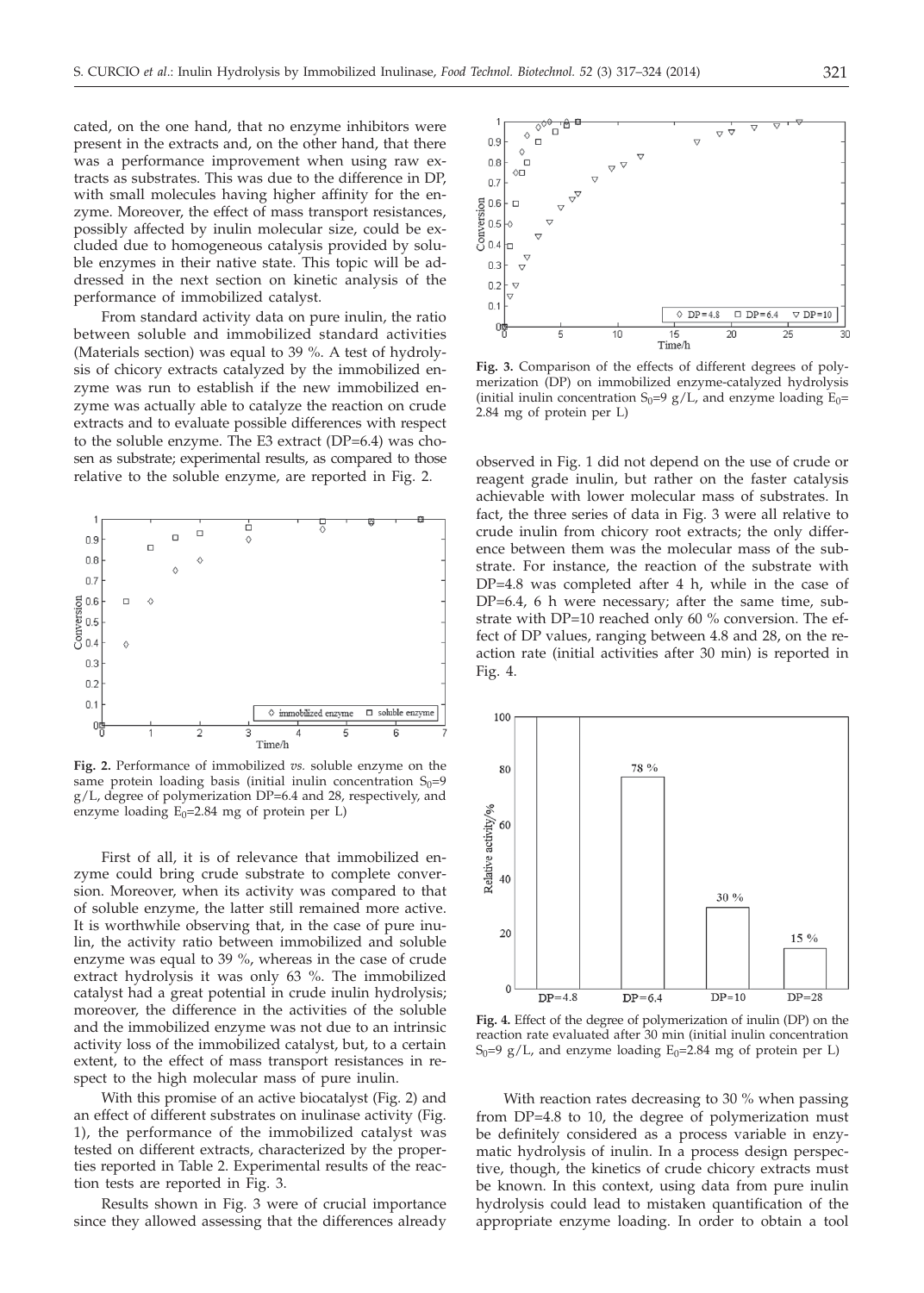cated, on the one hand, that no enzyme inhibitors were present in the extracts and, on the other hand, that there was a performance improvement when using raw extracts as substrates. This was due to the difference in DP, with small molecules having higher affinity for the enzyme. Moreover, the effect of mass transport resistances, possibly affected by inulin molecular size, could be excluded due to homogeneous catalysis provided by soluble enzymes in their native state. This topic will be addressed in the next section on kinetic analysis of the performance of immobilized catalyst.

From standard activity data on pure inulin, the ratio between soluble and immobilized standard activities (Materials section) was equal to 39 %. A test of hydrolysis of chicory extracts catalyzed by the immobilized enzyme was run to establish if the new immobilized enzyme was actually able to catalyze the reaction on crude extracts and to evaluate possible differences with respect to the soluble enzyme. The E3 extract (DP=6.4) was chosen as substrate; experimental results, as compared to those relative to the soluble enzyme, are reported in Fig. 2.



**Fig. 2.** Performance of immobilized *vs.* soluble enzyme on the same protein loading basis (initial inulin concentration  $S_0=9$ g/L, degree of polymerization DP=6.4 and 28, respectively, and enzyme loading  $E_0$ =2.84 mg of protein per L)

First of all, it is of relevance that immobilized enzyme could bring crude substrate to complete conversion. Moreover, when its activity was compared to that of soluble enzyme, the latter still remained more active. It is worthwhile observing that, in the case of pure inulin, the activity ratio between immobilized and soluble enzyme was equal to 39 %, whereas in the case of crude extract hydrolysis it was only 63 %. The immobilized catalyst had a great potential in crude inulin hydrolysis; moreover, the difference in the activities of the soluble and the immobilized enzyme was not due to an intrinsic activity loss of the immobilized catalyst, but, to a certain extent, to the effect of mass transport resistances in respect to the high molecular mass of pure inulin.

With this promise of an active biocatalyst (Fig. 2) and an effect of different substrates on inulinase activity (Fig. 1), the performance of the immobilized catalyst was tested on different extracts, characterized by the properties reported in Table 2. Experimental results of the reaction tests are reported in Fig. 3.

Results shown in Fig. 3 were of crucial importance since they allowed assessing that the differences already



**Fig. 3.** Comparison of the effects of different degrees of polymerization (DP) on immobilized enzyme-catalyzed hydrolysis (initial inulin concentration  $S_0=9$  g/L, and enzyme loading  $E_0=$ 2.84 mg of protein per L)

observed in Fig. 1 did not depend on the use of crude or reagent grade inulin, but rather on the faster catalysis achievable with lower molecular mass of substrates. In fact, the three series of data in Fig. 3 were all relative to crude inulin from chicory root extracts; the only difference between them was the molecular mass of the substrate. For instance, the reaction of the substrate with DP=4.8 was completed after 4 h, while in the case of DP=6.4, 6 h were necessary; after the same time, substrate with DP=10 reached only 60 % conversion. The effect of DP values, ranging between 4.8 and 28, on the reaction rate (initial activities after 30 min) is reported in Fig. 4.



**Fig. 4.** Effect of the degree of polymerization of inulin (DP) on the reaction rate evaluated after 30 min (initial inulin concentration  $S_0=9$  g/L, and enzyme loading  $E_0=2.84$  mg of protein per L)

With reaction rates decreasing to 30 % when passing from DP=4.8 to 10, the degree of polymerization must be definitely considered as a process variable in enzymatic hydrolysis of inulin. In a process design perspective, though, the kinetics of crude chicory extracts must be known. In this context, using data from pure inulin hydrolysis could lead to mistaken quantification of the appropriate enzyme loading. In order to obtain a tool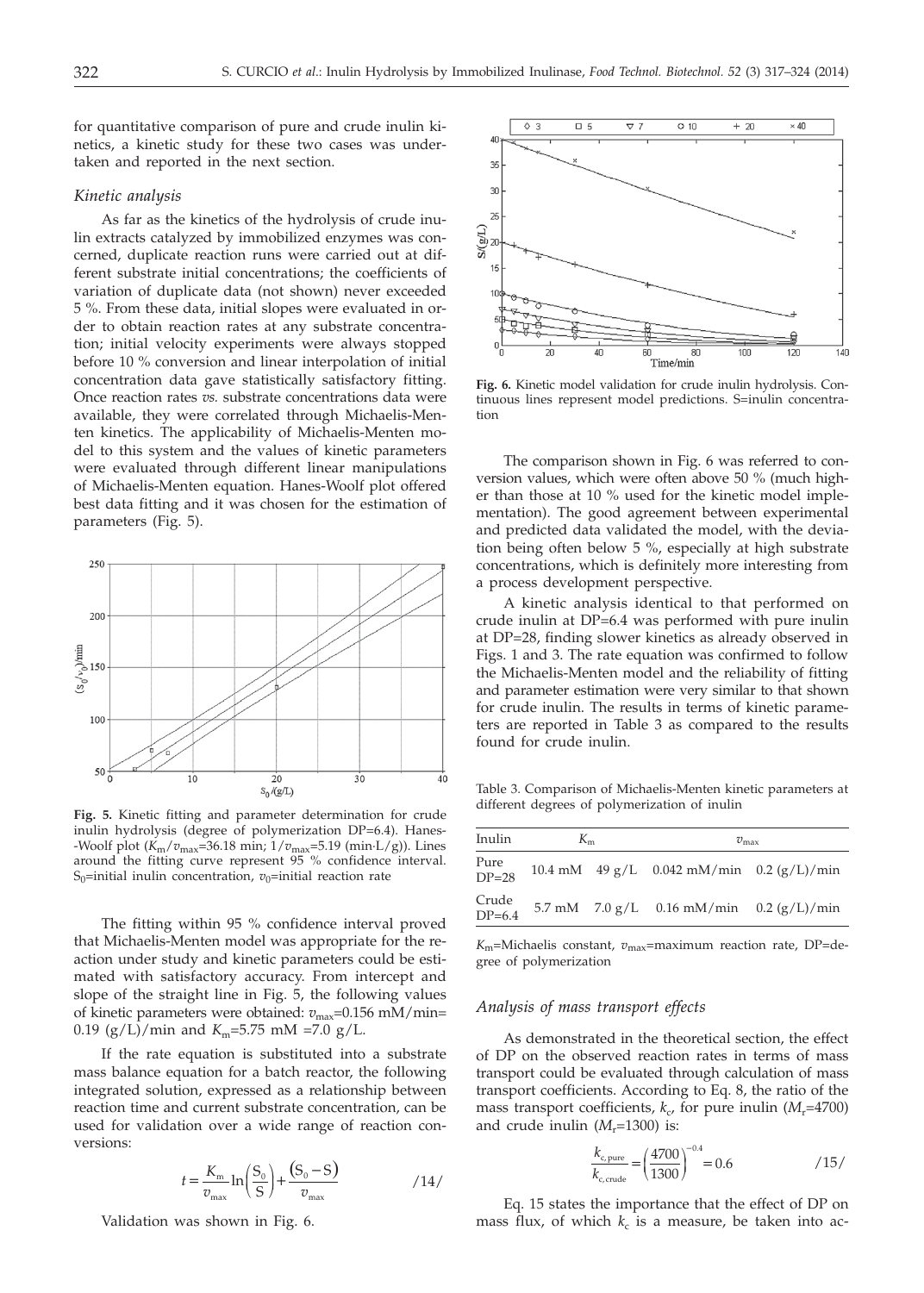for quantitative comparison of pure and crude inulin kinetics, a kinetic study for these two cases was undertaken and reported in the next section.

#### *Kinetic analysis*

As far as the kinetics of the hydrolysis of crude inulin extracts catalyzed by immobilized enzymes was concerned, duplicate reaction runs were carried out at different substrate initial concentrations; the coefficients of variation of duplicate data (not shown) never exceeded 5 %. From these data, initial slopes were evaluated in order to obtain reaction rates at any substrate concentration; initial velocity experiments were always stopped before 10 % conversion and linear interpolation of initial concentration data gave statistically satisfactory fitting. Once reaction rates *vs.* substrate concentrations data were available, they were correlated through Michaelis-Menten kinetics. The applicability of Michaelis-Menten model to this system and the values of kinetic parameters were evaluated through different linear manipulations of Michaelis-Menten equation. Hanes-Woolf plot offered best data fitting and it was chosen for the estimation of parameters (Fig. 5).



**Fig. 5.** Kinetic fitting and parameter determination for crude inulin hydrolysis (degree of polymerization DP=6.4). Hanes- -Woolf plot (*K*m/*v*max=36.18 min; 1/*v*max=5.19 (min·L/g)). Lines around the fitting curve represent 95 % confidence interval. S<sub>0</sub>=initial inulin concentration,  $v_0$ =initial reaction rate

The fitting within 95 % confidence interval proved that Michaelis-Menten model was appropriate for the reaction under study and kinetic parameters could be estimated with satisfactory accuracy. From intercept and slope of the straight line in Fig. 5, the following values of kinetic parameters were obtained:  $v_{\text{max}}$ =0.156 mM/min= 0.19 (g/L)/min and  $K_m$ =5.75 mM =7.0 g/L.

If the rate equation is substituted into a substrate mass balance equation for a batch reactor, the following integrated solution, expressed as a relationship between reaction time and current substrate concentration, can be used for validation over a wide range of reaction conversions:

$$
t = \frac{K_{\rm m}}{v_{\rm max}} \ln \left( \frac{S_0}{S} \right) + \frac{(S_0 - S)}{v_{\rm max}} \tag{14}
$$

Validation was shown in Fig. 6.



**Fig. 6.** Kinetic model validation for crude inulin hydrolysis. Continuous lines represent model predictions. S=inulin concentration

The comparison shown in Fig. 6 was referred to conversion values, which were often above 50 % (much higher than those at 10 % used for the kinetic model implementation). The good agreement between experimental and predicted data validated the model, with the deviation being often below 5 %, especially at high substrate concentrations, which is definitely more interesting from a process development perspective.

A kinetic analysis identical to that performed on crude inulin at DP=6.4 was performed with pure inulin at DP=28, finding slower kinetics as already observed in Figs. 1 and 3. The rate equation was confirmed to follow the Michaelis-Menten model and the reliability of fitting and parameter estimation were very similar to that shown for crude inulin. The results in terms of kinetic parameters are reported in Table 3 as compared to the results found for crude inulin.

Table 3. Comparison of Michaelis-Menten kinetic parameters at different degrees of polymerization of inulin

| Inulin            | $K_{m}$ |  | $v_{\rm max}$                                      |  |  |
|-------------------|---------|--|----------------------------------------------------|--|--|
| Pure<br>$DP = 28$ |         |  | 10.4 mM $49 g/L$ 0.042 mM/min 0.2 (g/L)/min        |  |  |
| Crude<br>$DP=6.4$ |         |  | 5.7 mM $7.0 \text{ g/L}$ 0.16 mM/min 0.2 (g/L)/min |  |  |

*K*m=Michaelis constant, *v*max=maximum reaction rate, DP=degree of polymerization

#### *Analysis of mass transport effects*

As demonstrated in the theoretical section, the effect of DP on the observed reaction rates in terms of mass transport could be evaluated through calculation of mass transport coefficients. According to Eq. 8, the ratio of the mass transport coefficients,  $k_c$ , for pure inulin ( $M_r$ =4700) and crude inulin  $(M_r=1300)$  is:

$$
\frac{k_{\rm c, pure}}{k_{\rm c, crude}} = \left(\frac{4700}{1300}\right)^{-0.4} = 0.6 \tag{15/}
$$

Eq. 15 states the importance that the effect of DP on mass flux, of which  $k_c$  is a measure, be taken into ac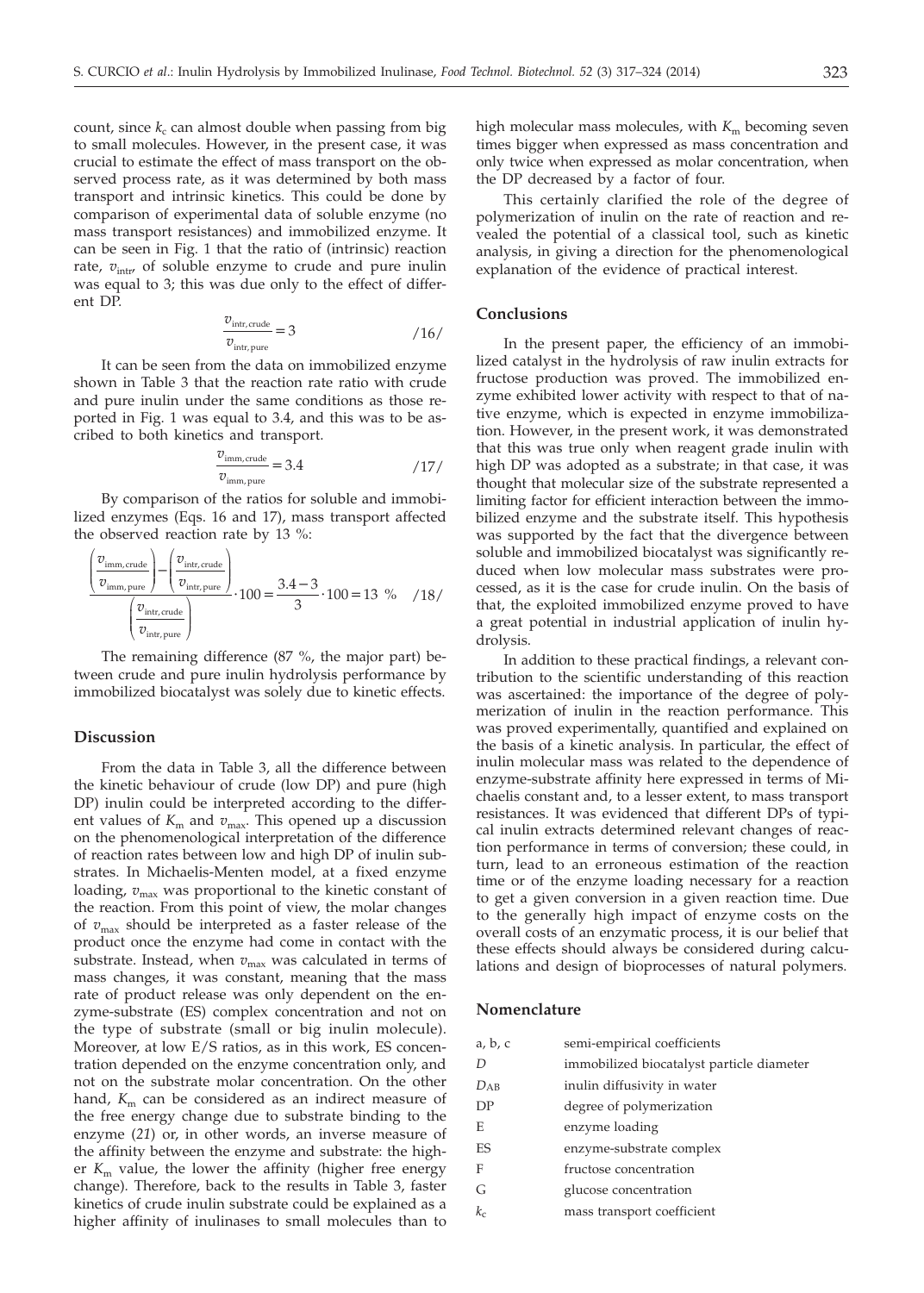count, since  $k_c$  can almost double when passing from big to small molecules. However, in the present case, it was crucial to estimate the effect of mass transport on the observed process rate, as it was determined by both mass transport and intrinsic kinetics. This could be done by comparison of experimental data of soluble enzyme (no mass transport resistances) and immobilized enzyme. It can be seen in Fig. 1 that the ratio of (intrinsic) reaction rate,  $v_{\text{intr}}$  of soluble enzyme to crude and pure inulin was equal to 3; this was due only to the effect of different DP.

$$
\frac{v_{\text{intr, crude}}}{v_{\text{intr, pure}}} = 3 \tag{16/}
$$

It can be seen from the data on immobilized enzyme shown in Table 3 that the reaction rate ratio with crude and pure inulin under the same conditions as those reported in Fig. 1 was equal to 3.4, and this was to be ascribed to both kinetics and transport.

$$
\frac{v_{\text{imm, crude}}}{v_{\text{imm, pure}}} = 3.4 \tag{17}
$$

By comparison of the ratios for soluble and immobilized enzymes (Eqs. 16 and 17), mass transport affected the observed reaction rate by 13 %:

$$
\frac{\left(\frac{v_{\text{imm, crude}}}{v_{\text{imm,pure}}}\right) - \left(\frac{v_{\text{int, crude}}}{v_{\text{int, pure}}}\right)}{\left(\frac{v_{\text{int,curve}}}{v_{\text{int,pure}}}\right)} \cdot 100 = \frac{3.4 - 3}{3} \cdot 100 = 13 \text{ % } /18 /
$$

The remaining difference (87 %, the major part) between crude and pure inulin hydrolysis performance by immobilized biocatalyst was solely due to kinetic effects.

#### **Discussion**

From the data in Table 3, all the difference between the kinetic behaviour of crude (low DP) and pure (high DP) inulin could be interpreted according to the different values of  $K<sub>m</sub>$  and  $v<sub>max</sub>$ . This opened up a discussion on the phenomenological interpretation of the difference of reaction rates between low and high DP of inulin substrates. In Michaelis-Menten model, at a fixed enzyme loading,  $v_{\text{max}}$  was proportional to the kinetic constant of the reaction. From this point of view, the molar changes of  $v_{\text{max}}$  should be interpreted as a faster release of the product once the enzyme had come in contact with the substrate. Instead, when  $v_{\text{max}}$  was calculated in terms of mass changes, it was constant, meaning that the mass rate of product release was only dependent on the enzyme-substrate (ES) complex concentration and not on the type of substrate (small or big inulin molecule). Moreover, at low E/S ratios, as in this work, ES concentration depended on the enzyme concentration only, and not on the substrate molar concentration. On the other hand,  $K<sub>m</sub>$  can be considered as an indirect measure of the free energy change due to substrate binding to the enzyme (*21*) or, in other words, an inverse measure of the affinity between the enzyme and substrate: the higher  $K<sub>m</sub>$  value, the lower the affinity (higher free energy change). Therefore, back to the results in Table 3, faster kinetics of crude inulin substrate could be explained as a higher affinity of inulinases to small molecules than to high molecular mass molecules, with  $K<sub>m</sub>$  becoming seven times bigger when expressed as mass concentration and only twice when expressed as molar concentration, when the DP decreased by a factor of four.

This certainly clarified the role of the degree of polymerization of inulin on the rate of reaction and revealed the potential of a classical tool, such as kinetic analysis, in giving a direction for the phenomenological explanation of the evidence of practical interest.

### **Conclusions**

In the present paper, the efficiency of an immobilized catalyst in the hydrolysis of raw inulin extracts for fructose production was proved. The immobilized enzyme exhibited lower activity with respect to that of native enzyme, which is expected in enzyme immobilization. However, in the present work, it was demonstrated that this was true only when reagent grade inulin with high DP was adopted as a substrate; in that case, it was thought that molecular size of the substrate represented a limiting factor for efficient interaction between the immobilized enzyme and the substrate itself. This hypothesis was supported by the fact that the divergence between soluble and immobilized biocatalyst was significantly reduced when low molecular mass substrates were processed, as it is the case for crude inulin. On the basis of that, the exploited immobilized enzyme proved to have a great potential in industrial application of inulin hydrolysis.

In addition to these practical findings, a relevant contribution to the scientific understanding of this reaction was ascertained: the importance of the degree of polymerization of inulin in the reaction performance. This was proved experimentally, quantified and explained on the basis of a kinetic analysis. In particular, the effect of inulin molecular mass was related to the dependence of enzyme-substrate affinity here expressed in terms of Michaelis constant and, to a lesser extent, to mass transport resistances. It was evidenced that different DPs of typical inulin extracts determined relevant changes of reaction performance in terms of conversion; these could, in turn, lead to an erroneous estimation of the reaction time or of the enzyme loading necessary for a reaction to get a given conversion in a given reaction time. Due to the generally high impact of enzyme costs on the overall costs of an enzymatic process, it is our belief that these effects should always be considered during calculations and design of bioprocesses of natural polymers.

#### **Nomenclature**

| a, b, c   | semi-empirical coefficients               |
|-----------|-------------------------------------------|
| D         | immobilized biocatalyst particle diameter |
| $D_{AB}$  | inulin diffusivity in water               |
| DP        | degree of polymerization                  |
| E         | enzyme loading                            |
| <b>FS</b> | enzyme-substrate complex                  |
| F         | fructose concentration                    |
| G         | glucose concentration                     |
| $k_c$     | mass transport coefficient                |
|           |                                           |